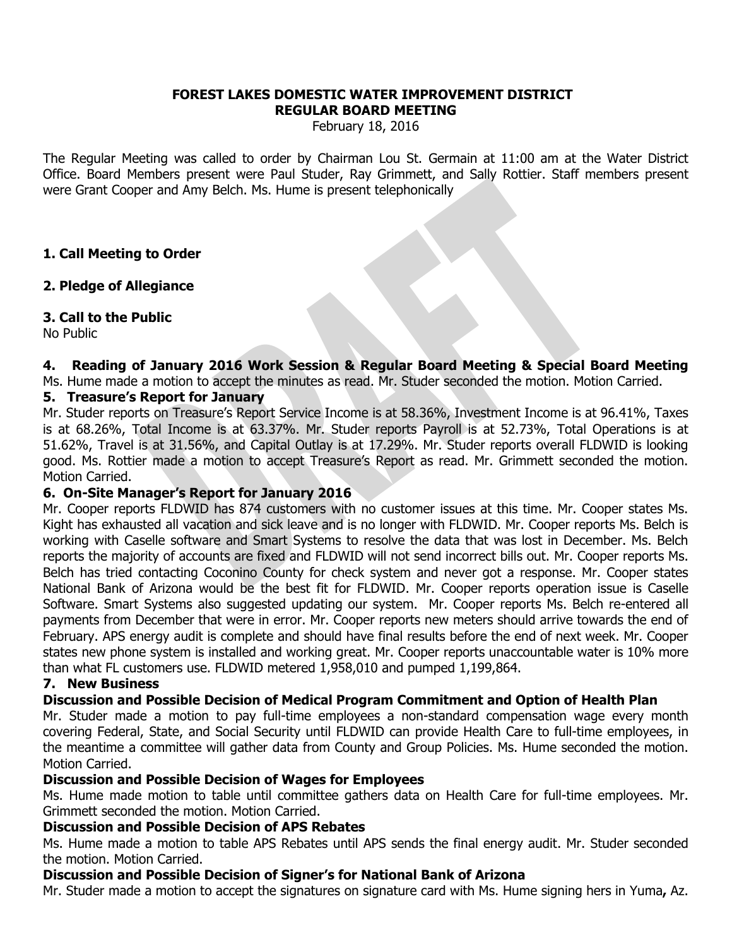#### **FOREST LAKES DOMESTIC WATER IMPROVEMENT DISTRICT REGULAR BOARD MEETING**

February 18, 2016

The Regular Meeting was called to order by Chairman Lou St. Germain at 11:00 am at the Water District Office. Board Members present were Paul Studer, Ray Grimmett, and Sally Rottier. Staff members present were Grant Cooper and Amy Belch. Ms. Hume is present telephonically

### **1. Call Meeting to Order**

### **2. Pledge of Allegiance**

### **3. Call to the Public**

No Public

## **4. Reading of January 2016 Work Session & Regular Board Meeting & Special Board Meeting**

Ms. Hume made a motion to accept the minutes as read. Mr. Studer seconded the motion. Motion Carried.

### **5. Treasure's Report for January**

Mr. Studer reports on Treasure's Report Service Income is at 58.36%, Investment Income is at 96.41%, Taxes is at 68.26%, Total Income is at 63.37%. Mr. Studer reports Payroll is at 52.73%, Total Operations is at 51.62%, Travel is at 31.56%, and Capital Outlay is at 17.29%. Mr. Studer reports overall FLDWID is looking good. Ms. Rottier made a motion to accept Treasure's Report as read. Mr. Grimmett seconded the motion. Motion Carried.

### **6. On-Site Manager's Report for January 2016**

Mr. Cooper reports FLDWID has 874 customers with no customer issues at this time. Mr. Cooper states Ms. Kight has exhausted all vacation and sick leave and is no longer with FLDWID. Mr. Cooper reports Ms. Belch is working with Caselle software and Smart Systems to resolve the data that was lost in December. Ms. Belch reports the majority of accounts are fixed and FLDWID will not send incorrect bills out. Mr. Cooper reports Ms. Belch has tried contacting Coconino County for check system and never got a response. Mr. Cooper states National Bank of Arizona would be the best fit for FLDWID. Mr. Cooper reports operation issue is Caselle Software. Smart Systems also suggested updating our system. Mr. Cooper reports Ms. Belch re-entered all payments from December that were in error. Mr. Cooper reports new meters should arrive towards the end of February. APS energy audit is complete and should have final results before the end of next week. Mr. Cooper states new phone system is installed and working great. Mr. Cooper reports unaccountable water is 10% more than what FL customers use. FLDWID metered 1,958,010 and pumped 1,199,864.

### **7. New Business**

## **Discussion and Possible Decision of Medical Program Commitment and Option of Health Plan**

Mr. Studer made a motion to pay full-time employees a non-standard compensation wage every month covering Federal, State, and Social Security until FLDWID can provide Health Care to full-time employees, in the meantime a committee will gather data from County and Group Policies. Ms. Hume seconded the motion. Motion Carried.

### **Discussion and Possible Decision of Wages for Employees**

Ms. Hume made motion to table until committee gathers data on Health Care for full-time employees. Mr. Grimmett seconded the motion. Motion Carried.

### **Discussion and Possible Decision of APS Rebates**

Ms. Hume made a motion to table APS Rebates until APS sends the final energy audit. Mr. Studer seconded the motion. Motion Carried.

### **Discussion and Possible Decision of Signer's for National Bank of Arizona**

Mr. Studer made a motion to accept the signatures on signature card with Ms. Hume signing hers in Yuma**,** Az.